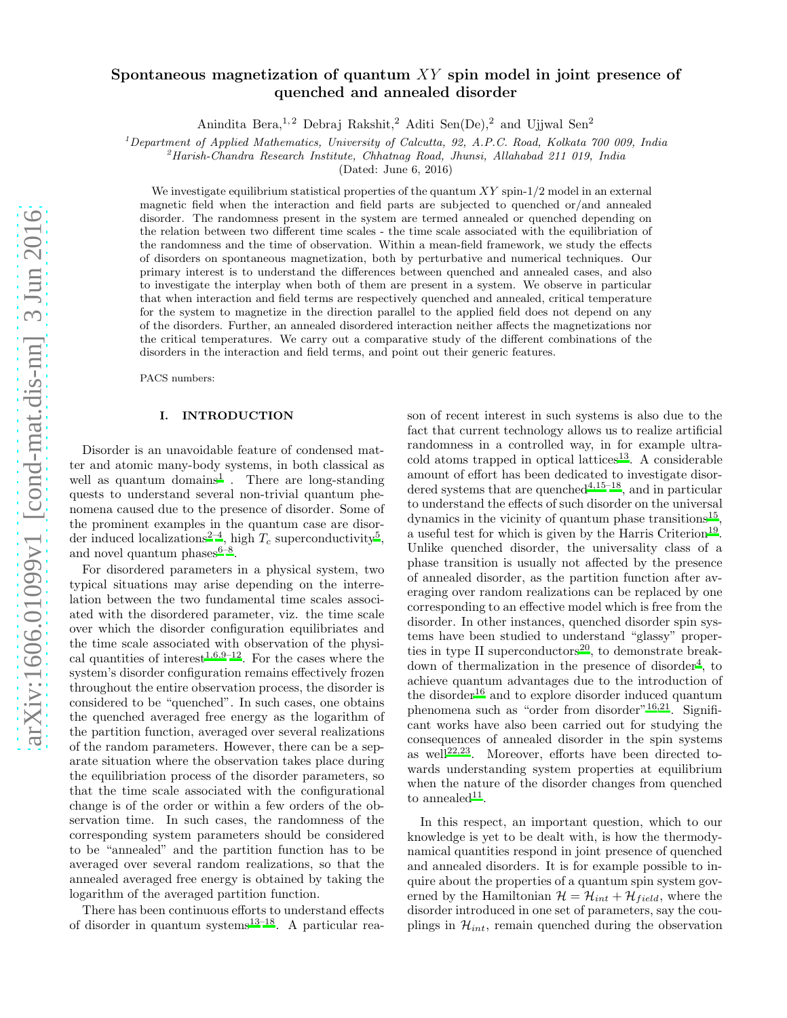# Spontaneous magnetization of quantum  $XY$  spin model in joint presence of quenched and annealed disorder

Anindita Bera,<sup>1,2</sup> Debraj Rakshit,<sup>2</sup> Aditi Sen(De),<sup>2</sup> and Ujjwal Sen<sup>2</sup>

<sup>1</sup>*Department of Applied Mathematics, University of Calcutta, 92, A.P.C. Road, Kolkata 700 009, India*

<sup>2</sup>*Harish-Chandra Research Institute, Chhatnag Road, Jhunsi, Allahabad 211 019, India*

(Dated: June 6, 2016)

We investigate equilibrium statistical properties of the quantum  $XY \sin 1/2$  model in an external magnetic field when the interaction and field parts are subjected to quenched or/and annealed disorder. The randomness present in the system are termed annealed or quenched depending on the relation between two different time scales - the time scale associated with the equilibriation of the randomness and the time of observation. Within a mean-field framework, we study the effects of disorders on spontaneous magnetization, both by perturbative and numerical techniques. Our primary interest is to understand the differences between quenched and annealed cases, and also to investigate the interplay when both of them are present in a system. We observe in particular that when interaction and field terms are respectively quenched and annealed, critical temperature for the system to magnetize in the direction parallel to the applied field does not depend on any of the disorders. Further, an annealed disordered interaction neither affects the magnetizations nor the critical temperatures. We carry out a comparative study of the different combinations of the disorders in the interaction and field terms, and point out their generic features.

PACS numbers:

#### I. INTRODUCTION

Disorder is an unavoidable feature of condensed matter and atomic many-body systems, in both classical as well as quantum domains<sup>[1](#page-7-0)</sup>. There are long-standing quests to understand several non-trivial quantum phenomena caused due to the presence of disorder. Some of the prominent examples in the quantum case are disor-der induced localizations<sup>[2](#page-7-1)-4</sup>, high  $T_c$  superconductivity<sup>[5](#page-7-3)</sup>, and novel quantum phases $6-8$  $6-8$ .

For disordered parameters in a physical system, two typical situations may arise depending on the interrelation between the two fundamental time scales associated with the disordered parameter, viz. the time scale over which the disorder configuration equilibriates and the time scale associated with observation of the physi-cal quantities of interest<sup>[1](#page-7-0)[,6](#page-7-4)[,9](#page-7-6)[–12](#page-8-0)</sup>. For the cases where the system's disorder configuration remains effectively frozen throughout the entire observation process, the disorder is considered to be "quenched". In such cases, one obtains the quenched averaged free energy as the logarithm of the partition function, averaged over several realizations of the random parameters. However, there can be a separate situation where the observation takes place during the equilibriation process of the disorder parameters, so that the time scale associated with the configurational change is of the order or within a few orders of the observation time. In such cases, the randomness of the corresponding system parameters should be considered to be "annealed" and the partition function has to be averaged over several random realizations, so that the annealed averaged free energy is obtained by taking the logarithm of the averaged partition function.

There has been continuous efforts to understand effects of disorder in quantum systems $13-18$  $13-18$ . A particular reason of recent interest in such systems is also due to the fact that current technology allows us to realize artificial randomness in a controlled way, in for example ultra- $\text{cold atoms trapped in optical lattices}^{13}$  $\text{cold atoms trapped in optical lattices}^{13}$  $\text{cold atoms trapped in optical lattices}^{13}$ . A considerable amount of effort has been dedicated to investigate disor-dered systems that are quenched<sup>[4](#page-7-2)[,15](#page-8-3)[–18](#page-8-2)</sup>, and in particular to understand the effects of such disorder on the universal dynamics in the vicinity of quantum phase transitions<sup>[15](#page-8-3)</sup>, a useful test for which is given by the Harris Criterion<sup>[19](#page-8-4)</sup>. Unlike quenched disorder, the universality class of a phase transition is usually not affected by the presence of annealed disorder, as the partition function after averaging over random realizations can be replaced by one corresponding to an effective model which is free from the disorder. In other instances, quenched disorder spin systems have been studied to understand "glassy" properties in type II superconductors $^{20}$  $^{20}$  $^{20}$ , to demonstrate break-down of thermalization in the presence of disorder<sup>[4](#page-7-2)</sup>, to achieve quantum advantages due to the introduction of the disorder<sup>[16](#page-8-6)</sup> and to explore disorder induced quantum phenomena such as "order from disorder"<sup>[16](#page-8-6)[,21](#page-8-7)</sup>. Significant works have also been carried out for studying the consequences of annealed disorder in the spin systems as well<sup>[22](#page-8-8)[,23](#page-8-9)</sup>. Moreover, efforts have been directed towards understanding system properties at equilibrium when the nature of the disorder changes from quenched to annealed<sup>[11](#page-8-10)</sup>.

In this respect, an important question, which to our knowledge is yet to be dealt with, is how the thermodynamical quantities respond in joint presence of quenched and annealed disorders. It is for example possible to inquire about the properties of a quantum spin system governed by the Hamiltonian  $\mathcal{H} = \mathcal{H}_{int} + \mathcal{H}_{field}$ , where the disorder introduced in one set of parameters, say the couplings in  $\mathcal{H}_{int}$ , remain quenched during the observation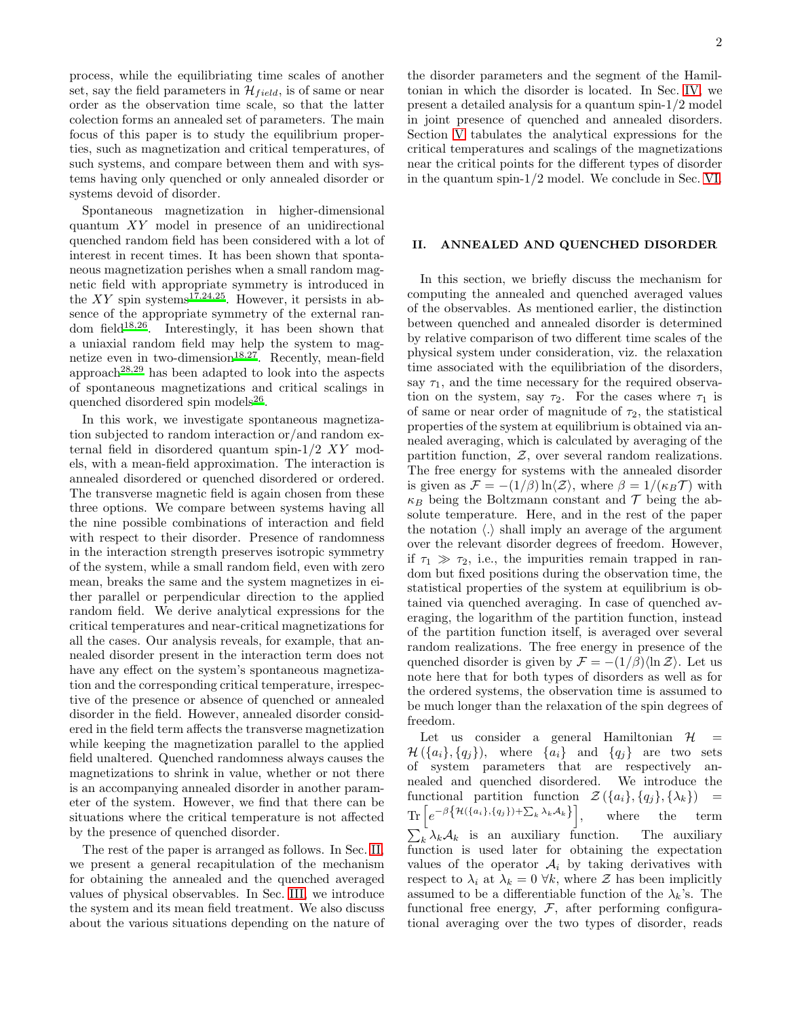process, while the equilibriating time scales of another set, say the field parameters in  $\mathcal{H}_{field}$ , is of same or near order as the observation time scale, so that the latter colection forms an annealed set of parameters. The main focus of this paper is to study the equilibrium properties, such as magnetization and critical temperatures, of such systems, and compare between them and with systems having only quenched or only annealed disorder or systems devoid of disorder.

Spontaneous magnetization in higher-dimensional quantum XY model in presence of an unidirectional quenched random field has been considered with a lot of interest in recent times. It has been shown that spontaneous magnetization perishes when a small random magnetic field with appropriate symmetry is introduced in the  $XY$  spin systems<sup>[17](#page-8-11)[,24](#page-8-12)[,25](#page-8-13)</sup>. However, it persists in absence of the appropriate symmetry of the external random field[18](#page-8-2)[,26](#page-8-14). Interestingly, it has been shown that a uniaxial random field may help the system to mag-netize even in two-dimension<sup>[18](#page-8-2)[,27](#page-8-15)</sup>. Recently, mean-field approach<sup>[28](#page-8-16)[,29](#page-8-17)</sup> has been adapted to look into the aspects of spontaneous magnetizations and critical scalings in quenched disordered spin models<sup>[26](#page-8-14)</sup>.

In this work, we investigate spontaneous magnetization subjected to random interaction or/and random external field in disordered quantum spin- $1/2$  XY models, with a mean-field approximation. The interaction is annealed disordered or quenched disordered or ordered. The transverse magnetic field is again chosen from these three options. We compare between systems having all the nine possible combinations of interaction and field with respect to their disorder. Presence of randomness in the interaction strength preserves isotropic symmetry of the system, while a small random field, even with zero mean, breaks the same and the system magnetizes in either parallel or perpendicular direction to the applied random field. We derive analytical expressions for the critical temperatures and near-critical magnetizations for all the cases. Our analysis reveals, for example, that annealed disorder present in the interaction term does not have any effect on the system's spontaneous magnetization and the corresponding critical temperature, irrespective of the presence or absence of quenched or annealed disorder in the field. However, annealed disorder considered in the field term affects the transverse magnetization while keeping the magnetization parallel to the applied field unaltered. Quenched randomness always causes the magnetizations to shrink in value, whether or not there is an accompanying annealed disorder in another parameter of the system. However, we find that there can be situations where the critical temperature is not affected by the presence of quenched disorder.

The rest of the paper is arranged as follows. In Sec. [II,](#page-1-0) we present a general recapitulation of the mechanism for obtaining the annealed and the quenched averaged values of physical observables. In Sec. [III,](#page-2-0) we introduce the system and its mean field treatment. We also discuss about the various situations depending on the nature of

the disorder parameters and the segment of the Hamiltonian in which the disorder is located. In Sec. [IV,](#page-3-0) we present a detailed analysis for a quantum spin-1/2 model in joint presence of quenched and annealed disorders. Section [V](#page-6-0) tabulates the analytical expressions for the critical temperatures and scalings of the magnetizations near the critical points for the different types of disorder in the quantum spin-1/2 model. We conclude in Sec. [VI.](#page-7-7)

# <span id="page-1-0"></span>II. ANNEALED AND QUENCHED DISORDER

In this section, we briefly discuss the mechanism for computing the annealed and quenched averaged values of the observables. As mentioned earlier, the distinction between quenched and annealed disorder is determined by relative comparison of two different time scales of the physical system under consideration, viz. the relaxation time associated with the equilibriation of the disorders, say  $\tau_1$ , and the time necessary for the required observation on the system, say  $\tau_2$ . For the cases where  $\tau_1$  is of same or near order of magnitude of  $\tau_2$ , the statistical properties of the system at equilibrium is obtained via annealed averaging, which is calculated by averaging of the partition function,  $Z$ , over several random realizations. The free energy for systems with the annealed disorder is given as  $\mathcal{F} = -(1/\beta) \ln \langle \mathcal{Z} \rangle$ , where  $\beta = 1/(\kappa_B \mathcal{T})$  with  $\kappa_B$  being the Boltzmann constant and  $\mathcal T$  being the absolute temperature. Here, and in the rest of the paper the notation  $\langle . \rangle$  shall imply an average of the argument over the relevant disorder degrees of freedom. However, if  $\tau_1 \gg \tau_2$ , i.e., the impurities remain trapped in random but fixed positions during the observation time, the statistical properties of the system at equilibrium is obtained via quenched averaging. In case of quenched averaging, the logarithm of the partition function, instead of the partition function itself, is averaged over several random realizations. The free energy in presence of the quenched disorder is given by  $\mathcal{F} = -(1/\beta)\langle \ln \mathcal{Z} \rangle$ . Let us note here that for both types of disorders as well as for the ordered systems, the observation time is assumed to be much longer than the relaxation of the spin degrees of freedom.

Let us consider a general Hamiltonian  $\mathcal{H}$  =  $\mathcal{H}(\{a_i\}, \{q_i\}),$  where  $\{a_i\}$  and  $\{q_i\}$  are two sets of system parameters that are respectively annealed and quenched disordered. We introduce the functional partition function  $\mathcal{Z}(\{a_i\}, \{q_i\}, \{\lambda_k\})$  =  $\text{Tr}\left[e^{-\beta\big\{\mathcal{H}(\{a_i\},\{q_j\})+\sum_k\lambda_k\mathcal{A}_k\big\}}\right]$ , where the term  $\sum_{k} \lambda_k \mathcal{A}_k$  is an auxiliary function. The auxiliary function is used later for obtaining the expectation values of the operator  $A_i$  by taking derivatives with respect to  $\lambda_i$  at  $\lambda_k = 0 \ \forall k$ , where  $\mathcal Z$  has been implicitly assumed to be a differentiable function of the  $\lambda_k$ 's. The functional free energy,  $F$ , after performing configurational averaging over the two types of disorder, reads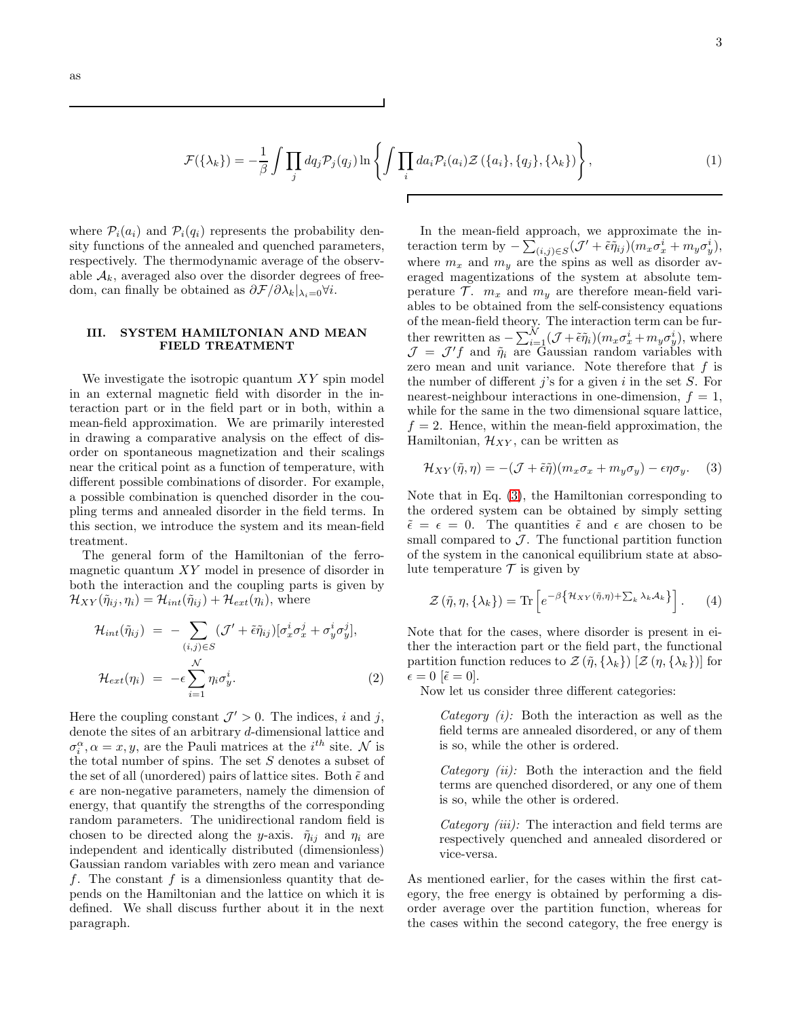$$
\mathcal{F}(\{\lambda_k\}) = -\frac{1}{\beta} \int \prod_j dq_j \mathcal{P}_j(q_j) \ln \left\{ \int \prod_i da_i \mathcal{P}_i(a_i) \mathcal{Z}(\{a_i\}, \{q_j\}, \{\lambda_k\}) \right\},\tag{1}
$$

Г

where  $P_i(a_i)$  and  $P_i(q_i)$  represents the probability density functions of the annealed and quenched parameters, respectively. The thermodynamic average of the observable  $A_k$ , averaged also over the disorder degrees of freedom, can finally be obtained as  $\partial \mathcal{F}/\partial \lambda_k|_{\lambda_i=0}$ ∀*i*.

# <span id="page-2-0"></span>III. SYSTEM HAMILTONIAN AND MEAN FIELD TREATMENT

We investigate the isotropic quantum XY spin model in an external magnetic field with disorder in the interaction part or in the field part or in both, within a mean-field approximation. We are primarily interested in drawing a comparative analysis on the effect of disorder on spontaneous magnetization and their scalings near the critical point as a function of temperature, with different possible combinations of disorder. For example, a possible combination is quenched disorder in the coupling terms and annealed disorder in the field terms. In this section, we introduce the system and its mean-field treatment.

The general form of the Hamiltonian of the ferromagnetic quantum XY model in presence of disorder in both the interaction and the coupling parts is given by  $\mathcal{H}_{XY}(\tilde{\eta}_{ij},\eta_i) = \mathcal{H}_{int}(\tilde{\eta}_{ij}) + \mathcal{H}_{ext}(\eta_i)$ , where

$$
\mathcal{H}_{int}(\tilde{\eta}_{ij}) = -\sum_{(i,j)\in S} (\mathcal{J}' + \tilde{\epsilon}\tilde{\eta}_{ij}) [\sigma_x^i \sigma_x^j + \sigma_y^i \sigma_y^j],
$$
  

$$
\mathcal{H}_{ext}(\eta_i) = -\epsilon \sum_{i=1}^N \eta_i \sigma_y^i.
$$
 (2)

Here the coupling constant  $\mathcal{J}' > 0$ . The indices, i and j, denote the sites of an arbitrary d-dimensional lattice and  $\sigma_i^{\alpha}, \alpha = x, y$ , are the Pauli matrices at the *i*<sup>th</sup> site. N is the total number of spins. The set  $S$  denotes a subset of the set of all (unordered) pairs of lattice sites. Both  $\tilde{\epsilon}$  and  $\epsilon$  are non-negative parameters, namely the dimension of energy, that quantify the strengths of the corresponding random parameters. The unidirectional random field is chosen to be directed along the y-axis.  $\tilde{\eta}_{ij}$  and  $\eta_i$  are independent and identically distributed (dimensionless) Gaussian random variables with zero mean and variance f. The constant f is a dimensionless quantity that depends on the Hamiltonian and the lattice on which it is defined. We shall discuss further about it in the next paragraph.

In the mean-field approach, we approximate the interaction term by  $-\sum_{(i,j)\in S}(\mathcal{J}' + \tilde{\epsilon}\tilde{\eta}_{ij})(m_x\sigma_x^i + m_y\sigma_y^i),$ where  $m_x$  and  $m_y$  are the spins as well as disorder averaged magentizations of the system at absolute temperature  $\mathcal{T}$ .  $m_x$  and  $m_y$  are therefore mean-field variables to be obtained from the self-consistency equations of the mean-field theory. The interaction term can be further rewritten as  $-\sum_{i=1}^{N}(\mathcal{J}+\tilde{\epsilon}\tilde{\eta}_i)(m_x\sigma_x^i+m_y\sigma_y^i)$ , where  $\mathcal{J} = \mathcal{J}'f$  and  $\tilde{\eta}_i$  are Gaussian random variables with zero mean and unit variance. Note therefore that  $f$  is the number of different  $j$ 's for a given  $i$  in the set  $S$ . For nearest-neighbour interactions in one-dimension,  $f = 1$ , while for the same in the two dimensional square lattice,  $f = 2$ . Hence, within the mean-field approximation, the Hamiltonian,  $\mathcal{H}_{XY}$ , can be written as

<span id="page-2-1"></span>
$$
\mathcal{H}_{XY}(\tilde{\eta}, \eta) = -(\mathcal{J} + \tilde{\epsilon}\tilde{\eta})(m_x \sigma_x + m_y \sigma_y) - \epsilon \eta \sigma_y. \tag{3}
$$

Note that in Eq. [\(3\)](#page-2-1), the Hamiltonian corresponding to the ordered system can be obtained by simply setting  $\tilde{\epsilon} = \epsilon = 0$ . The quantities  $\tilde{\epsilon}$  and  $\epsilon$  are chosen to be small compared to  $\mathcal{J}$ . The functional partition function of the system in the canonical equilibrium state at absolute temperature  $\mathcal T$  is given by

$$
\mathcal{Z}\left(\tilde{\eta},\eta,\{\lambda_k\}\right) = \text{Tr}\left[e^{-\beta \{\mathcal{H}_{XY}(\tilde{\eta},\eta) + \sum_k \lambda_k \mathcal{A}_k\}}\right].\tag{4}
$$

Note that for the cases, where disorder is present in either the interaction part or the field part, the functional partition function reduces to  $\mathcal{Z}(\tilde{\eta}, \{\lambda_k\})$   $[\mathcal{Z}(\eta, \{\lambda_k\})]$  for  $\epsilon = 0$   $[\tilde{\epsilon} = 0].$ 

Now let us consider three different categories:

Category  $(i)$ : Both the interaction as well as the field terms are annealed disordered, or any of them is so, while the other is ordered.

Category  $(ii)$ : Both the interaction and the field terms are quenched disordered, or any one of them is so, while the other is ordered.

Category  $(iii)$ : The interaction and field terms are respectively quenched and annealed disordered or vice-versa.

As mentioned earlier, for the cases within the first category, the free energy is obtained by performing a disorder average over the partition function, whereas for the cases within the second category, the free energy is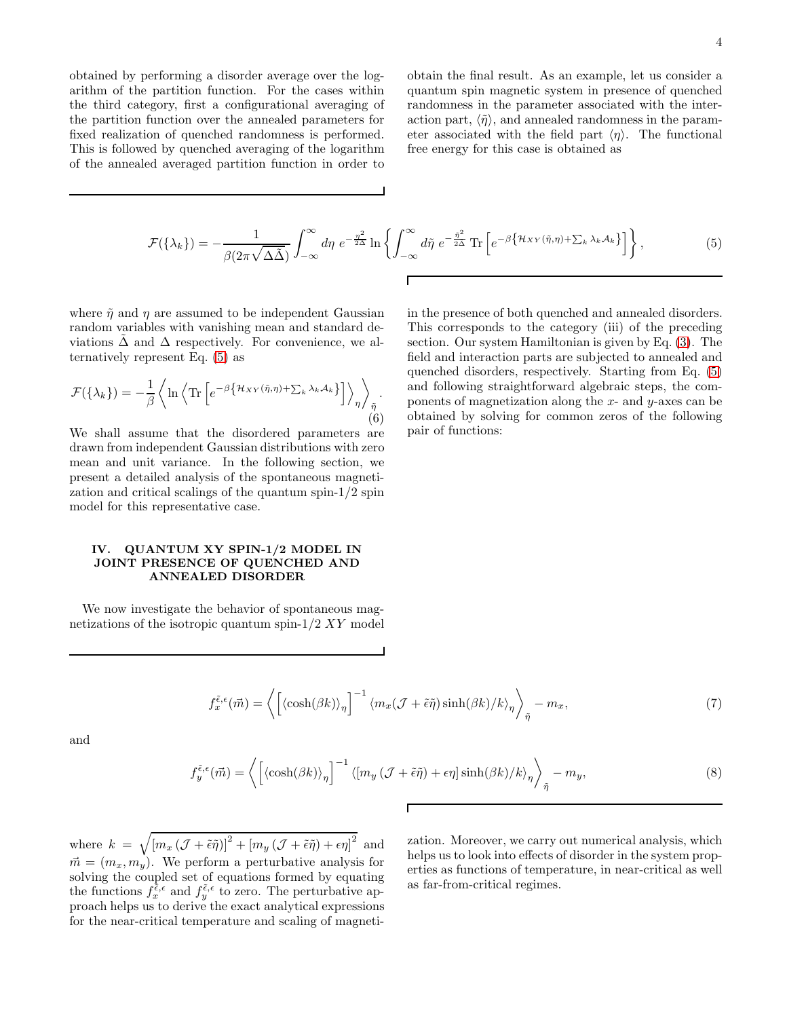obtained by performing a disorder average over the logarithm of the partition function. For the cases within the third category, first a configurational averaging of the partition function over the annealed parameters for fixed realization of quenched randomness is performed. This is followed by quenched averaging of the logarithm of the annealed averaged partition function in order to

obtain the final result. As an example, let us consider a quantum spin magnetic system in presence of quenched randomness in the parameter associated with the interaction part,  $\langle \tilde{\eta} \rangle$ , and annealed randomness in the parameter associated with the field part  $\langle \eta \rangle$ . The functional free energy for this case is obtained as

<span id="page-3-1"></span>
$$
\mathcal{F}(\{\lambda_k\}) = -\frac{1}{\beta(2\pi\sqrt{\Delta\tilde{\Delta}})} \int_{-\infty}^{\infty} d\eta \ e^{-\frac{\eta^2}{2\Delta}} \ln\left\{ \int_{-\infty}^{\infty} d\tilde{\eta} \ e^{-\frac{\tilde{\eta}^2}{2\Delta}} \operatorname{Tr}\left[e^{-\beta\left\{\mathcal{H}_{XY}(\tilde{\eta},\eta)+\sum_k \lambda_k \mathcal{A}_k\right\}}\right] \right\},\tag{5}
$$

where  $\tilde{\eta}$  and  $\eta$  are assumed to be independent Gaussian random variables with vanishing mean and standard deviations  $\Delta$  and  $\Delta$  respectively. For convenience, we alternatively represent Eq. [\(5\)](#page-3-1) as

$$
\mathcal{F}(\{\lambda_k\}) = -\frac{1}{\beta} \left\langle \ln \left\langle \text{Tr} \left[ e^{-\beta \left\{ \mathcal{H}_{XY}(\tilde{\eta}, \eta) + \sum_k \lambda_k \mathcal{A}_k \right\}} \right] \right\rangle_{\eta} \right\rangle_{\tilde{\eta}}.
$$
\n(6)

We shall assume that the disordered parameters are drawn from independent Gaussian distributions with zero mean and unit variance. In the following section, we present a detailed analysis of the spontaneous magnetization and critical scalings of the quantum spin-1/2 spin model for this representative case.

## <span id="page-3-0"></span>IV. QUANTUM XY SPIN-1/2 MODEL IN JOINT PRESENCE OF QUENCHED AND ANNEALED DISORDER

We now investigate the behavior of spontaneous magnetizations of the isotropic quantum spin-1/2 XY model in the presence of both quenched and annealed disorders. This corresponds to the category (iii) of the preceding section. Our system Hamiltonian is given by Eq. [\(3\)](#page-2-1). The field and interaction parts are subjected to annealed and quenched disorders, respectively. Starting from Eq. [\(5\)](#page-3-1) and following straightforward algebraic steps, the components of magnetization along the  $x$ - and  $y$ -axes can be obtained by solving for common zeros of the following pair of functions:

<span id="page-3-2"></span>
$$
f_x^{\tilde{\epsilon},\epsilon}(\vec{m}) = \left\langle \left[ \left\langle \cosh(\beta k) \right\rangle_{\eta} \right]^{-1} \left\langle m_x(\mathcal{J} + \tilde{\epsilon}\tilde{\eta})\sinh(\beta k) / k \right\rangle_{\eta} \right\rangle_{\tilde{\eta}} - m_x, \tag{7}
$$

and

<span id="page-3-3"></span>
$$
f_{y}^{\tilde{\epsilon},\epsilon}(\vec{m}) = \left\langle \left[ \left\langle \cosh(\beta k) \right\rangle_{\eta} \right]^{-1} \left\langle [m_{y} \left( \mathcal{J} + \tilde{\epsilon}\tilde{\eta} \right) + \epsilon\eta \right] \sinh(\beta k) / k \right\rangle_{\eta} \right\rangle_{\tilde{\eta}} - m_{y},\tag{8}
$$

where  $k = \sqrt{[m_x (\mathcal{J} + \tilde{\epsilon}\tilde{\eta})]^2 + [m_y (\mathcal{J} + \tilde{\epsilon}\tilde{\eta}) + \epsilon \eta]^2}$  and  $\vec{m} = (m_x, m_y)$ . We perform a perturbative analysis for solving the coupled set of equations formed by equating the functions  $f_x^{\tilde{\epsilon}, \epsilon}$  and  $f_y^{\tilde{\epsilon}, \epsilon}$  to zero. The perturbative approach helps us to derive the exact analytical expressions for the near-critical temperature and scaling of magneti-

zation. Moreover, we carry out numerical analysis, which helps us to look into effects of disorder in the system properties as functions of temperature, in near-critical as well as far-from-critical regimes.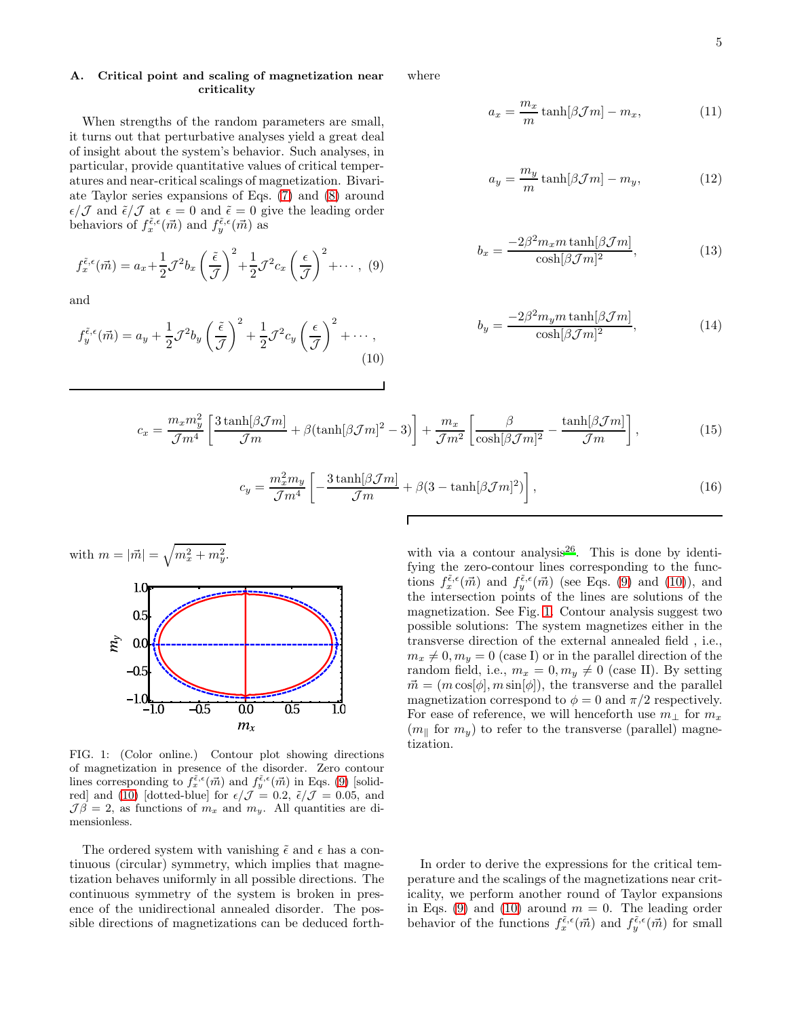### A. Critical point and scaling of magnetization near criticality

When strengths of the random parameters are small, it turns out that perturbative analyses yield a great deal of insight about the system's behavior. Such analyses, in particular, provide quantitative values of critical temperatures and near-critical scalings of magnetization. Bivariate Taylor series expansions of Eqs. [\(7\)](#page-3-2) and [\(8\)](#page-3-3) around  $\epsilon/\mathcal{J}$  and  $\tilde{\epsilon}/\mathcal{J}$  at  $\epsilon = 0$  and  $\tilde{\epsilon} = 0$  give the leading order behaviors of  $f_x^{\tilde{\epsilon},\epsilon}(\vec{m})$  and  $f_y^{\tilde{\epsilon},\epsilon}(\vec{m})$  as

<span id="page-4-0"></span>
$$
f_x^{\tilde{\epsilon},\epsilon}(\vec{m}) = a_x + \frac{1}{2}\mathcal{J}^2 b_x \left(\frac{\tilde{\epsilon}}{\mathcal{J}}\right)^2 + \frac{1}{2}\mathcal{J}^2 c_x \left(\frac{\epsilon}{\mathcal{J}}\right)^2 + \cdots, (9)
$$

and

<span id="page-4-1"></span>
$$
f_y^{\tilde{\epsilon},\epsilon}(\vec{m}) = a_y + \frac{1}{2}\mathcal{J}^2 b_y \left(\frac{\tilde{\epsilon}}{\mathcal{J}}\right)^2 + \frac{1}{2}\mathcal{J}^2 c_y \left(\frac{\epsilon}{\mathcal{J}}\right)^2 + \cdots,
$$
\n(10)

where

$$
a_x = \frac{m_x}{m} \tanh[\beta \mathcal{J}m] - m_x,\tag{11}
$$

$$
a_y = \frac{m_y}{m} \tanh[\beta \mathcal{J}m] - m_y,\tag{12}
$$

$$
b_x = \frac{-2\beta^2 m_x m \tanh[\beta \mathcal{J}m]}{\cosh[\beta \mathcal{J}m]^2},\tag{13}
$$

$$
b_y = \frac{-2\beta^2 m_y m \tanh[\beta \mathcal{J}m]}{\cosh[\beta \mathcal{J}m]^2},\tag{14}
$$

$$
c_x = \frac{m_x m_y^2}{\mathcal{J}m^4} \left[ \frac{3 \tanh[\beta \mathcal{J}m]}{\mathcal{J}m} + \beta (\tanh[\beta \mathcal{J}m]^2 - 3) \right] + \frac{m_x}{\mathcal{J}m^2} \left[ \frac{\beta}{\cosh[\beta \mathcal{J}m]^2} - \frac{\tanh[\beta \mathcal{J}m]}{\mathcal{J}m} \right],\tag{15}
$$

Г

$$
c_y = \frac{m_x^2 m_y}{\mathcal{J}m^4} \left[ -\frac{3 \tanh[\beta \mathcal{J}m]}{\mathcal{J}m} + \beta (3 - \tanh[\beta \mathcal{J}m]^2) \right],\tag{16}
$$



<span id="page-4-2"></span>FIG. 1: (Color online.) Contour plot showing directions of magnetization in presence of the disorder. Zero contour lines corresponding to  $f_x^{\tilde{\epsilon},\epsilon}(\vec{m})$  and  $f_y^{\tilde{\epsilon},\epsilon}(\vec{m})$  in Eqs. [\(9\)](#page-4-0) [solid-red] and [\(10\)](#page-4-1) [dotted-blue] for  $\epsilon/\mathcal{J} = 0.2$ ,  $\tilde{\epsilon}/\mathcal{J} = 0.05$ , and  $\mathcal{J}\beta = 2$ , as functions of  $m_x$  and  $m_y$ . All quantities are dimensionless.

The ordered system with vanishing  $\tilde{\epsilon}$  and  $\epsilon$  has a continuous (circular) symmetry, which implies that magnetization behaves uniformly in all possible directions. The continuous symmetry of the system is broken in presence of the unidirectional annealed disorder. The possible directions of magnetizations can be deduced forth-

with via a contour analysis<sup>[26](#page-8-14)</sup>. This is done by identifying the zero-contour lines corresponding to the functions  $f_{x}^{\tilde{\epsilon},\epsilon}(\vec{m})$  and  $f_{y}^{\tilde{\epsilon},\epsilon}(\vec{m})$  (see Eqs. [\(9\)](#page-4-0) and [\(10\)](#page-4-1)), and the intersection points of the lines are solutions of the magnetization. See Fig. [1.](#page-4-2) Contour analysis suggest two possible solutions: The system magnetizes either in the transverse direction of the external annealed field , i.e.,  $m_x \neq 0, m_y = 0$  (case I) or in the parallel direction of the random field, i.e.,  $m_x = 0, m_y \neq 0$  (case II). By setting  $\vec{m} = (m \cos[\phi], m \sin[\phi]),$  the transverse and the parallel magnetization correspond to  $\phi = 0$  and  $\pi/2$  respectively. For ease of reference, we will henceforth use  $m_{\perp}$  for  $m_x$  $(m_{\parallel}$  for  $m_y)$  to refer to the transverse (parallel) magnetization.

In order to derive the expressions for the critical temperature and the scalings of the magnetizations near criticality, we perform another round of Taylor expansions in Eqs. [\(9\)](#page-4-0) and [\(10\)](#page-4-1) around  $m = 0$ . The leading order behavior of the functions  $f_x^{\tilde{\epsilon}, \epsilon}(\vec{m})$  and  $f_y^{\tilde{\epsilon}, \epsilon}(\vec{m})$  for small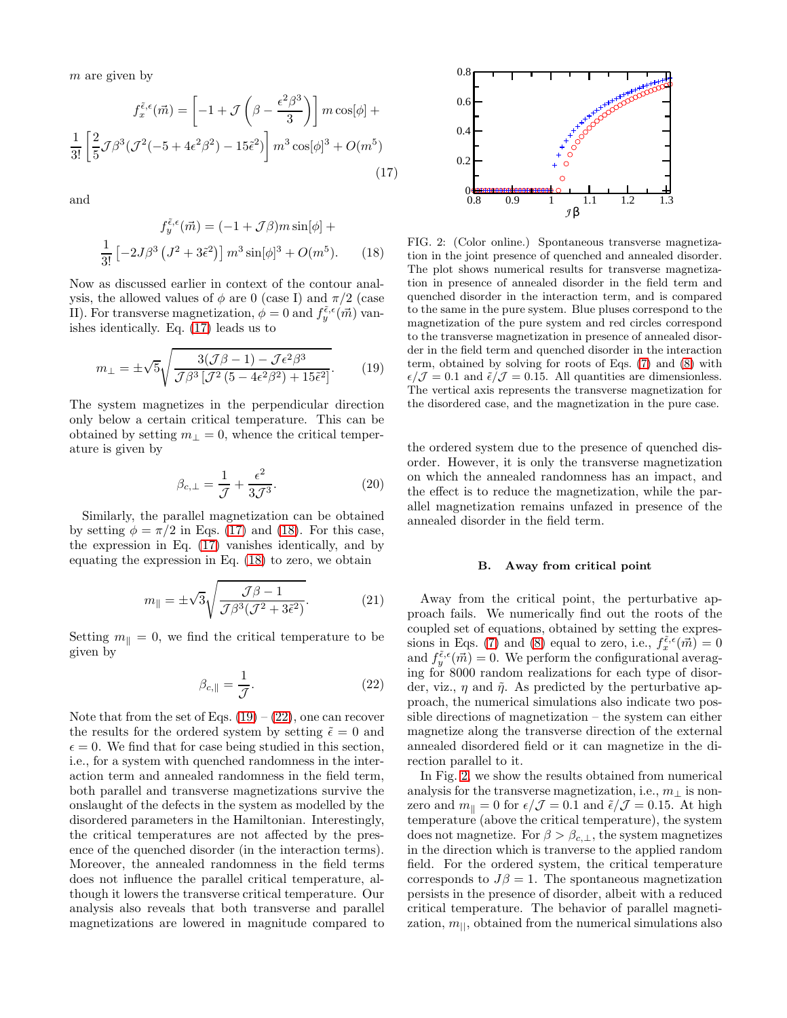$m$  are given by

<span id="page-5-0"></span>
$$
f_x^{\tilde{\epsilon},\epsilon}(\vec{m}) = \left[ -1 + \mathcal{J}\left(\beta - \frac{\epsilon^2 \beta^3}{3}\right) \right] m \cos[\phi] +
$$
  

$$
\frac{1}{3!} \left[ \frac{2}{5} \mathcal{J}\beta^3 (\mathcal{J}^2(-5 + 4\epsilon^2 \beta^2) - 15\tilde{\epsilon}^2) \right] m^3 \cos[\phi]^3 + O(m^5)
$$
(17)

and

<span id="page-5-1"></span>
$$
f_{\tilde{y}}^{\tilde{\epsilon},\epsilon}(\vec{m}) = (-1 + \mathcal{J}\beta)m\sin[\phi] +
$$

$$
\frac{1}{3!}\left[-2J\beta^3\left(J^2 + 3\tilde{\epsilon}^2\right)\right]m^3\sin[\phi]^3 + O(m^5). \qquad (18)
$$

Now as discussed earlier in context of the contour analysis, the allowed values of  $\phi$  are 0 (case I) and  $\pi/2$  (case II). For transverse magnetization,  $\phi = 0$  and  $f_{y}^{\tilde{\epsilon}, \epsilon}(\vec{m})$  vanishes identically. Eq. [\(17\)](#page-5-0) leads us to

<span id="page-5-2"></span>
$$
m_{\perp} = \pm \sqrt{5} \sqrt{\frac{3(\mathcal{J}\beta - 1) - \mathcal{J}\epsilon^2 \beta^3}{\mathcal{J}\beta^3 [\mathcal{J}^2 (5 - 4\epsilon^2 \beta^2) + 15\tilde{\epsilon}^2]}}.
$$
 (19)

The system magnetizes in the perpendicular direction only below a certain critical temperature. This can be obtained by setting  $m_{\perp} = 0$ , whence the critical temperature is given by

$$
\beta_{c,\perp} = \frac{1}{\mathcal{J}} + \frac{\epsilon^2}{3\mathcal{J}^3}.
$$
\n(20)

Similarly, the parallel magnetization can be obtained by setting  $\phi = \pi/2$  in Eqs. [\(17\)](#page-5-0) and [\(18\)](#page-5-1). For this case, the expression in Eq. [\(17\)](#page-5-0) vanishes identically, and by equating the expression in Eq. [\(18\)](#page-5-1) to zero, we obtain

$$
m_{\parallel} = \pm \sqrt{3} \sqrt{\frac{\mathcal{J}\beta - 1}{\mathcal{J}\beta^3 (\mathcal{J}^2 + 3\tilde{\epsilon}^2)}}.
$$
 (21)

Setting  $m_{\parallel} = 0$ , we find the critical temperature to be given by

<span id="page-5-3"></span>
$$
\beta_{c,\parallel} = \frac{1}{\mathcal{J}}.\tag{22}
$$

Note that from the set of Eqs.  $(19) - (22)$  $(19) - (22)$ , one can recover the results for the ordered system by setting  $\tilde{\epsilon} = 0$  and  $\epsilon = 0$ . We find that for case being studied in this section, i.e., for a system with quenched randomness in the interaction term and annealed randomness in the field term, both parallel and transverse magnetizations survive the onslaught of the defects in the system as modelled by the disordered parameters in the Hamiltonian. Interestingly, the critical temperatures are not affected by the presence of the quenched disorder (in the interaction terms). Moreover, the annealed randomness in the field terms does not influence the parallel critical temperature, although it lowers the transverse critical temperature. Our analysis also reveals that both transverse and parallel magnetizations are lowered in magnitude compared to



<span id="page-5-4"></span>FIG. 2: (Color online.) Spontaneous transverse magnetization in the joint presence of quenched and annealed disorder. The plot shows numerical results for transverse magnetization in presence of annealed disorder in the field term and quenched disorder in the interaction term, and is compared to the same in the pure system. Blue pluses correspond to the magnetization of the pure system and red circles correspond to the transverse magnetization in presence of annealed disorder in the field term and quenched disorder in the interaction term, obtained by solving for roots of Eqs. [\(7\)](#page-3-2) and [\(8\)](#page-3-3) with  $\epsilon/\mathcal{J} = 0.1$  and  $\tilde{\epsilon}/\mathcal{J} = 0.15$ . All quantities are dimensionless. The vertical axis represents the transverse magnetization for the disordered case, and the magnetization in the pure case.

the ordered system due to the presence of quenched disorder. However, it is only the transverse magnetization on which the annealed randomness has an impact, and the effect is to reduce the magnetization, while the parallel magnetization remains unfazed in presence of the annealed disorder in the field term.

#### B. Away from critical point

Away from the critical point, the perturbative approach fails. We numerically find out the roots of the coupled set of equations, obtained by setting the expres-sions in Eqs. [\(7\)](#page-3-2) and [\(8\)](#page-3-3) equal to zero, i.e.,  $f_x^{\tilde{\epsilon},\epsilon}(\vec{m}) = 0$ and  $f_{y}^{\tilde{\epsilon},\epsilon}(\vec{m})=0$ . We perform the configurational averaging for 8000 random realizations for each type of disorder, viz.,  $\eta$  and  $\tilde{\eta}$ . As predicted by the perturbative approach, the numerical simulations also indicate two possible directions of magnetization – the system can either magnetize along the transverse direction of the external annealed disordered field or it can magnetize in the direction parallel to it.

In Fig. [2,](#page-5-4) we show the results obtained from numerical analysis for the transverse magnetization, i.e.,  $m_{\perp}$  is nonzero and  $m_{\parallel} = 0$  for  $\epsilon/\mathcal{J} = 0.1$  and  $\tilde{\epsilon}/\mathcal{J} = 0.15$ . At high temperature (above the critical temperature), the system does not magnetize. For  $\beta > \beta_{c,\perp}$ , the system magnetizes in the direction which is tranverse to the applied random field. For the ordered system, the critical temperature corresponds to  $J\beta = 1$ . The spontaneous magnetization persists in the presence of disorder, albeit with a reduced critical temperature. The behavior of parallel magnetization,  $m_{\parallel}$ , obtained from the numerical simulations also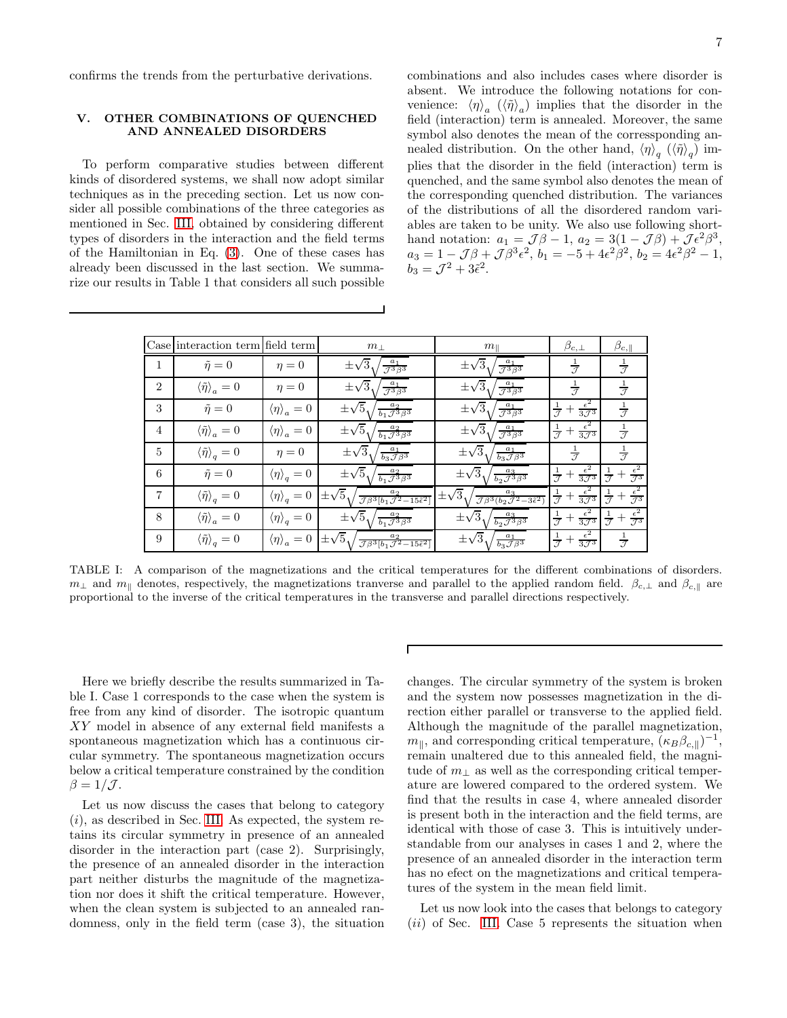confirms the trends from the perturbative derivations.

# <span id="page-6-0"></span>V. OTHER COMBINATIONS OF QUENCHED AND ANNEALED DISORDERS

To perform comparative studies between different kinds of disordered systems, we shall now adopt similar techniques as in the preceding section. Let us now consider all possible combinations of the three categories as mentioned in Sec. [III,](#page-2-0) obtained by considering different types of disorders in the interaction and the field terms of the Hamiltonian in Eq. [\(3\)](#page-2-1). One of these cases has already been discussed in the last section. We summarize our results in Table 1 that considers all such possible

combinations and also includes cases where disorder is absent. We introduce the following notations for convenience:  $\langle \eta \rangle_a$   $(\langle \tilde{\eta} \rangle_a)$  implies that the disorder in the field (interaction) term is annealed. Moreover, the same symbol also denotes the mean of the corressponding annealed distribution. On the other hand,  $\langle \eta \rangle_q$   $(\langle \tilde{\eta} \rangle_q)$  implies that the disorder in the field (interaction) term is quenched, and the same symbol also denotes the mean of the corresponding quenched distribution. The variances of the distributions of all the disordered random variables are taken to be unity. We also use following shorthand notation:  $a_1 = \mathcal{J}\beta - 1$ ,  $a_2 = 3(1 - \mathcal{J}\beta) + \mathcal{J}\epsilon^2\beta^3$ ,  $a_3 = 1 - \mathcal{J}\beta + \mathcal{J}\beta^3 \epsilon^2$ ,  $b_1 = -5 + 4\epsilon^2\beta^2$ ,  $b_2 = 4\epsilon^2\beta^2 - 1$ ,  $b_3 = \mathcal{J}^2 + 3\tilde{\epsilon}^2.$ 

|                | Case interaction term field term     |                              | $m_\perp$                                                                                               | $m_{\parallel}$                                                                           | $\beta_{c, \perp}$                                        | $\beta_{c,\parallel}$                                  |
|----------------|--------------------------------------|------------------------------|---------------------------------------------------------------------------------------------------------|-------------------------------------------------------------------------------------------|-----------------------------------------------------------|--------------------------------------------------------|
| 1              | $\tilde{\eta}=0$                     | $\eta = 0$                   | $\pm\sqrt{3}$ <sub>1</sub><br>$\frac{a_1}{\mathcal{J}^3\beta^3}$                                        | $\pm\sqrt{3}$<br>$\frac{a_1}{\mathcal{J}^3\beta^3}$                                       | $\frac{1}{\mathcal{I}}$                                   | $\frac{1}{\mathcal{J}}$                                |
| $\mathfrak{D}$ | $\langle \tilde{\eta} \rangle_a = 0$ | $\eta = 0$                   | $\pm\sqrt{3}$<br>$\frac{a_1}{\mathcal{I}^3\beta^3}$                                                     | $\pm\sqrt{3}$<br>$\frac{a_1}{\mathcal{J}^3\beta^3}$                                       | $\frac{1}{7}$                                             | $\frac{1}{\sqrt{2}}$                                   |
| 3              | $\tilde{\eta}=0$                     | $\langle \eta \rangle_a = 0$ | $\pm\sqrt{5}\sqrt{\frac{a_2}{b_1\mathcal{J}^3\beta^3}}$                                                 | $\pm\sqrt{3}$<br>$\frac{a_1}{\mathcal{J}^3\beta^3}$                                       | $\frac{1}{7}+\frac{\epsilon^2}{3.7^3}$                    | $\frac{1}{7}$                                          |
| 4              | $\langle \tilde{\eta} \rangle_a = 0$ | $\langle \eta \rangle_a = 0$ | $\pm\sqrt{5}\sqrt{\frac{a_2}{b_1\mathcal{J}^3\beta^3}}$                                                 | $\pm\sqrt{3}$<br>$\frac{a_1}{\mathcal{J}^3\beta^3}$                                       | $rac{1}{\mathcal{J}}+\frac{\epsilon^2}{3\mathcal{J}^3}$   | $\frac{1}{\mathcal{J}}$                                |
| 5              | $\langle \tilde{\eta} \rangle_q = 0$ | $\eta = 0$                   | $\pm\sqrt{3}$<br>$\frac{a_1}{b_3 \mathcal{J} \beta^3}$                                                  | $\pm\sqrt{3}\sqrt{3}$<br>$\frac{a_1}{b_3 \mathcal{J} \beta^3}$                            | $\frac{1}{\mathcal{I}}$                                   | $\frac{1}{\mathcal{I}}$                                |
| 6              | $\tilde{\eta}=0$                     | $\langle \eta \rangle_q = 0$ | $\pm\sqrt{5}\sqrt{\frac{a_2}{b_1\mathcal{J}^3\beta^3}}$                                                 | $\pm\sqrt{3}\sqrt{\frac{a_3}{b_2\mathcal{J}^3\beta^3}}$                                   | $\frac{1}{\mathcal{I}}+\frac{\epsilon^2}{3\mathcal{I}^3}$ | $rac{1}{\mathcal{J}}+\frac{\epsilon^2}{\mathcal{J}^3}$ |
| $\overline{7}$ | $\langle \tilde{\eta} \rangle_q = 0$ | $\langle \eta \rangle_q = 0$ | $\pm\sqrt{5}$<br>$\frac{a_2}{\mathcal{J}\beta^3[b_1\mathcal{J}^2-15\tilde{\epsilon}^2]}$                | $\pm\sqrt{3}$ .<br>$\frac{a_3}{\mathcal{J}\beta^3(b_2\mathcal{J}^2-3\tilde{\epsilon}^2)}$ | $\frac{1}{\mathcal{J}}+\frac{\epsilon^2}{3\mathcal{J}^3}$ | $rac{1}{\mathcal{J}}+\frac{\epsilon^2}{\mathcal{J}^3}$ |
| 8              | $\langle \tilde{\eta} \rangle_a = 0$ | $\langle \eta \rangle_q = 0$ | $\pm\sqrt{5}\sqrt{\frac{a_2}{b_1\mathcal{J}^3\beta^3}}$                                                 | $\pm\sqrt{3}$ <sub>1</sub> /<br>$\frac{a_3}{b_2 \mathcal{J}^3 \beta^3}$                   | $\frac{1}{\mathcal{J}}+\frac{\epsilon^2}{3\mathcal{J}^3}$ | $rac{1}{\mathcal{J}}+\frac{\epsilon^2}{\mathcal{J}^3}$ |
| 9              | $\langle \tilde{\eta} \rangle_q = 0$ | $\langle \eta \rangle_a = 0$ | $\pm\sqrt{5}$ <sub>1</sub> /<br>$\frac{a_2}{\mathcal{J}\beta^3[b_1\mathcal{J}^2-15\tilde{\epsilon}^2]}$ | $\pm\sqrt{3}$ ./<br>$\frac{a_1}{b_3 \mathcal{J} \beta^3}$                                 | $\frac{1}{\mathcal{I}}+\frac{\epsilon^2}{3\mathcal{I}^3}$ | $\frac{1}{\mathcal{J}}$                                |

TABLE I: A comparison of the magnetizations and the critical temperatures for the different combinations of disorders.  $m_\perp$  and  $m_\parallel$  denotes, respectively, the magnetizations tranverse and parallel to the applied random field.  $\beta_{c,\perp}$  and  $\beta_{c,\parallel}$  are proportional to the inverse of the critical temperatures in the transverse and parallel directions respectively.

Here we briefly describe the results summarized in Table I. Case 1 corresponds to the case when the system is free from any kind of disorder. The isotropic quantum XY model in absence of any external field manifests a spontaneous magnetization which has a continuous circular symmetry. The spontaneous magnetization occurs below a critical temperature constrained by the condition  $\beta = 1/\mathcal{J}$ .

Let us now discuss the cases that belong to category  $(i)$ , as described in Sec. [III.](#page-2-0) As expected, the system retains its circular symmetry in presence of an annealed disorder in the interaction part (case 2). Surprisingly, the presence of an annealed disorder in the interaction part neither disturbs the magnitude of the magnetization nor does it shift the critical temperature. However, when the clean system is subjected to an annealed randomness, only in the field term (case 3), the situation

changes. The circular symmetry of the system is broken and the system now possesses magnetization in the direction either parallel or transverse to the applied field. Although the magnitude of the parallel magnetization,  $m_{\parallel}$ , and corresponding critical temperature,  $(\kappa_B \beta_{c,\parallel})^{-1}$ , remain unaltered due to this annealed field, the magnitude of  $m_1$  as well as the corresponding critical temperature are lowered compared to the ordered system. We find that the results in case 4, where annealed disorder is present both in the interaction and the field terms, are identical with those of case 3. This is intuitively understandable from our analyses in cases 1 and 2, where the presence of an annealed disorder in the interaction term has no efect on the magnetizations and critical temperatures of the system in the mean field limit.

Let us now look into the cases that belongs to category  $(ii)$  of Sec. [III.](#page-2-0) Case 5 represents the situation when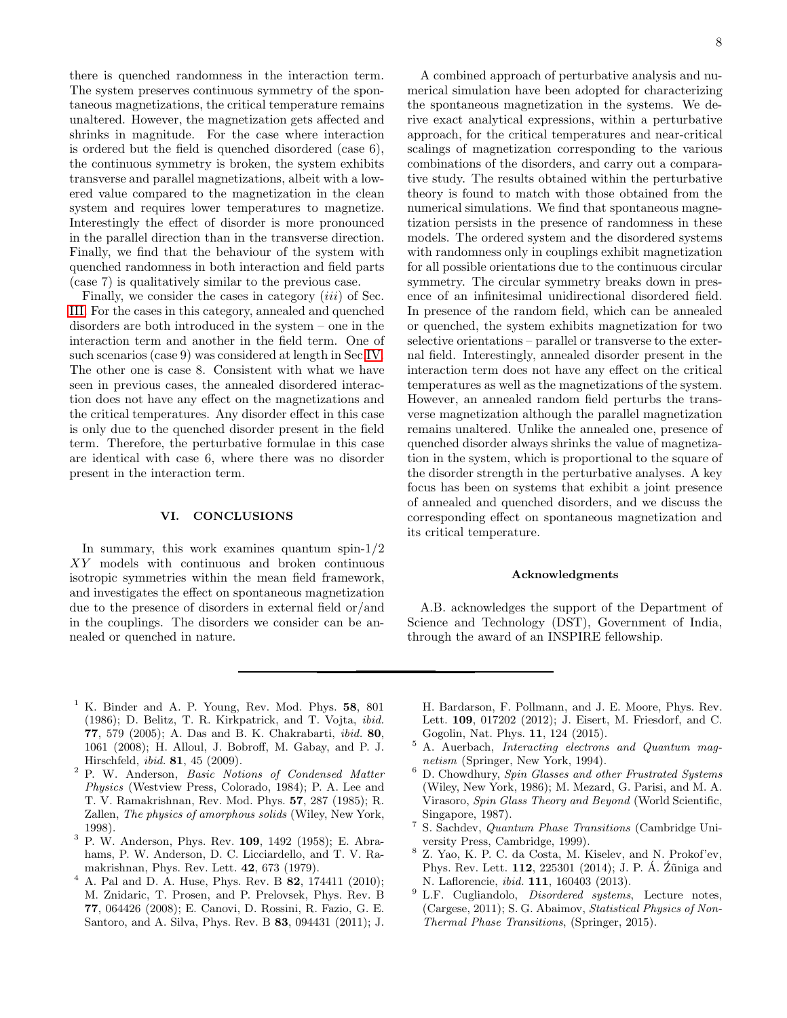there is quenched randomness in the interaction term. The system preserves continuous symmetry of the spontaneous magnetizations, the critical temperature remains unaltered. However, the magnetization gets affected and shrinks in magnitude. For the case where interaction is ordered but the field is quenched disordered (case 6), the continuous symmetry is broken, the system exhibits transverse and parallel magnetizations, albeit with a lowered value compared to the magnetization in the clean system and requires lower temperatures to magnetize. Interestingly the effect of disorder is more pronounced in the parallel direction than in the transverse direction. Finally, we find that the behaviour of the system with quenched randomness in both interaction and field parts (case 7) is qualitatively similar to the previous case.

Finally, we consider the cases in category *(iii)* of Sec. [III.](#page-2-0) For the cases in this category, annealed and quenched disorders are both introduced in the system – one in the interaction term and another in the field term. One of such scenarios (case 9) was considered at length in Sec[.IV.](#page-3-0) The other one is case 8. Consistent with what we have seen in previous cases, the annealed disordered interaction does not have any effect on the magnetizations and the critical temperatures. Any disorder effect in this case is only due to the quenched disorder present in the field term. Therefore, the perturbative formulae in this case are identical with case 6, where there was no disorder present in the interaction term.

#### <span id="page-7-7"></span>VI. CONCLUSIONS

In summary, this work examines quantum spin- $1/2$ XY models with continuous and broken continuous isotropic symmetries within the mean field framework, and investigates the effect on spontaneous magnetization due to the presence of disorders in external field or/and in the couplings. The disorders we consider can be annealed or quenched in nature.

A combined approach of perturbative analysis and numerical simulation have been adopted for characterizing the spontaneous magnetization in the systems. We derive exact analytical expressions, within a perturbative approach, for the critical temperatures and near-critical scalings of magnetization corresponding to the various combinations of the disorders, and carry out a comparative study. The results obtained within the perturbative theory is found to match with those obtained from the numerical simulations. We find that spontaneous magnetization persists in the presence of randomness in these models. The ordered system and the disordered systems with randomness only in couplings exhibit magnetization for all possible orientations due to the continuous circular symmetry. The circular symmetry breaks down in presence of an infinitesimal unidirectional disordered field. In presence of the random field, which can be annealed or quenched, the system exhibits magnetization for two selective orientations – parallel or transverse to the external field. Interestingly, annealed disorder present in the interaction term does not have any effect on the critical temperatures as well as the magnetizations of the system. However, an annealed random field perturbs the transverse magnetization although the parallel magnetization remains unaltered. Unlike the annealed one, presence of quenched disorder always shrinks the value of magnetization in the system, which is proportional to the square of the disorder strength in the perturbative analyses. A key focus has been on systems that exhibit a joint presence of annealed and quenched disorders, and we discuss the corresponding effect on spontaneous magnetization and its critical temperature.

#### Acknowledgments

A.B. acknowledges the support of the Department of Science and Technology (DST), Government of India, through the award of an INSPIRE fellowship.

- <span id="page-7-0"></span> $<sup>1</sup>$  K. Binder and A. P. Young, Rev. Mod. Phys. 58, 801</sup> (1986); D. Belitz, T. R. Kirkpatrick, and T. Vojta, *ibid.* 77, 579 (2005); A. Das and B. K. Chakrabarti, *ibid.* 80, 1061 (2008); H. Alloul, J. Bobroff, M. Gabay, and P. J. Hirschfeld, *ibid.* 81, 45 (2009).
- <span id="page-7-1"></span><sup>2</sup> P. W. Anderson, *Basic Notions of Condensed Matter Physics* (Westview Press, Colorado, 1984); P. A. Lee and T. V. Ramakrishnan, Rev. Mod. Phys. 57, 287 (1985); R. Zallen, *The physics of amorphous solids* (Wiley, New York, 1998).
- <sup>3</sup> P. W. Anderson, Phys. Rev. 109, 1492 (1958); E. Abrahams, P. W. Anderson, D. C. Licciardello, and T. V. Ramakrishnan, Phys. Rev. Lett. 42, 673 (1979).
- <span id="page-7-2"></span> $4$  A. Pal and D. A. Huse, Phys. Rev. B 82, 174411 (2010); M. Znidaric, T. Prosen, and P. Prelovsek, Phys. Rev. B 77, 064426 (2008); E. Canovi, D. Rossini, R. Fazio, G. E. Santoro, and A. Silva, Phys. Rev. B 83, 094431 (2011); J.

H. Bardarson, F. Pollmann, and J. E. Moore, Phys. Rev. Lett. 109, 017202 (2012); J. Eisert, M. Friesdorf, and C. Gogolin, Nat. Phys. 11, 124 (2015).

- <span id="page-7-3"></span><sup>5</sup> A. Auerbach, *Interacting electrons and Quantum magnetism* (Springer, New York, 1994).
- <span id="page-7-4"></span><sup>6</sup> D. Chowdhury, *Spin Glasses and other Frustrated Systems* (Wiley, New York, 1986); M. Mezard, G. Parisi, and M. A. Virasoro, *Spin Glass Theory and Beyond* (World Scientific, Singapore, 1987).
- 7 S. Sachdev, *Quantum Phase Transitions* (Cambridge University Press, Cambridge, 1999).
- <span id="page-7-5"></span><sup>8</sup> Z. Yao, K. P. C. da Costa, M. Kiselev, and N. Prokof'ev, Phys. Rev. Lett.  $112$ ,  $225301$  (2014); J. P. Á.  $\tilde{Z}$ uniga and N. Laflorencie, *ibid.* 111, 160403 (2013).
- <span id="page-7-6"></span><sup>9</sup> L.F. Cugliandolo, *Disordered systems*, Lecture notes, (Cargese, 2011); S. G. Abaimov, *Statistical Physics of Non-Thermal Phase Transitions*, (Springer, 2015).